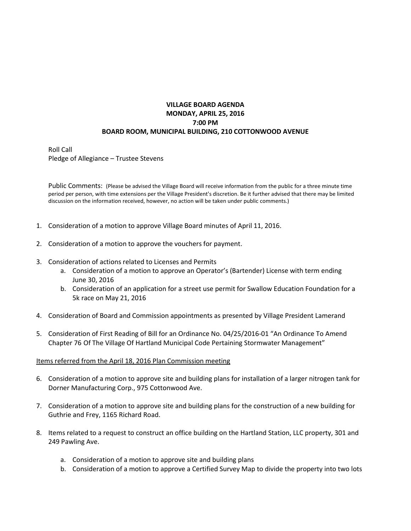## **VILLAGE BOARD AGENDA MONDAY, APRIL 25, 2016 7:00 PM BOARD ROOM, MUNICIPAL BUILDING, 210 COTTONWOOD AVENUE**

Roll Call Pledge of Allegiance – Trustee Stevens

Public Comments: (Please be advised the Village Board will receive information from the public for a three minute time period per person, with time extensions per the Village President's discretion. Be it further advised that there may be limited discussion on the information received, however, no action will be taken under public comments.)

- 1. Consideration of a motion to approve Village Board minutes of April 11, 2016.
- 2. Consideration of a motion to approve the vouchers for payment.
- 3. Consideration of actions related to Licenses and Permits
	- a. Consideration of a motion to approve an Operator's (Bartender) License with term ending June 30, 2016
	- b. Consideration of an application for a street use permit for Swallow Education Foundation for a 5k race on May 21, 2016
- 4. Consideration of Board and Commission appointments as presented by Village President Lamerand
- 5. Consideration of First Reading of Bill for an Ordinance No. 04/25/2016-01 "An Ordinance To Amend Chapter 76 Of The Village Of Hartland Municipal Code Pertaining Stormwater Management"

## Items referred from the April 18, 2016 Plan Commission meeting

- 6. Consideration of a motion to approve site and building plans for installation of a larger nitrogen tank for Dorner Manufacturing Corp., 975 Cottonwood Ave.
- 7. Consideration of a motion to approve site and building plans for the construction of a new building for Guthrie and Frey, 1165 Richard Road.
- 8. Items related to a request to construct an office building on the Hartland Station, LLC property, 301 and 249 Pawling Ave.
	- a. Consideration of a motion to approve site and building plans
	- b. Consideration of a motion to approve a Certified Survey Map to divide the property into two lots